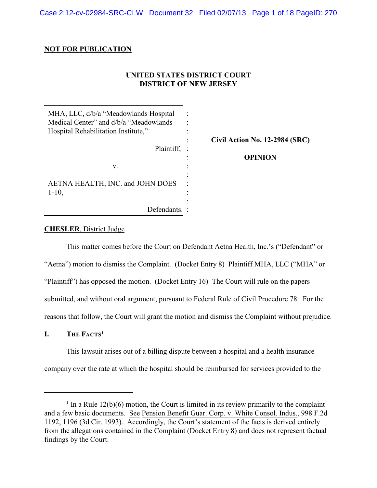Case 2:12-cv-02984-SRC-CLW Document 32 Filed 02/07/13 Page 1 of 18 PageID: 270

### **NOT FOR PUBLICATION**

# **UNITED STATES DISTRICT COURT DISTRICT OF NEW JERSEY**

| MHA, LLC, d/b/a "Meadowlands Hospital<br>Medical Center" and d/b/a "Meadowlands"<br>Hospital Rehabilitation Institute," |                                |
|-------------------------------------------------------------------------------------------------------------------------|--------------------------------|
|                                                                                                                         | Civil Action No. 12-2984 (SRC) |
| Plaintiff,                                                                                                              |                                |
|                                                                                                                         | <b>OPINION</b>                 |
| V.                                                                                                                      |                                |
|                                                                                                                         |                                |
| AETNA HEALTH, INC. and JOHN DOES                                                                                        | ٠                              |
| $1-10$ ,                                                                                                                |                                |
|                                                                                                                         |                                |
| Defendants.                                                                                                             |                                |

### **CHESLER**, District Judge

This matter comes before the Court on Defendant Aetna Health, Inc.'s ("Defendant" or "Aetna") motion to dismiss the Complaint. (Docket Entry 8) Plaintiff MHA, LLC ("MHA" or "Plaintiff") has opposed the motion. (Docket Entry 16) The Court will rule on the papers submitted, and without oral argument, pursuant to Federal Rule of Civil Procedure 78. For the reasons that follow, the Court will grant the motion and dismiss the Complaint without prejudice.

**I. THE FACTS 1**

This lawsuit arises out of a billing dispute between a hospital and a health insurance company over the rate at which the hospital should be reimbursed for services provided to the

<sup>&</sup>lt;sup>1</sup> In a Rule 12(b)(6) motion, the Court is limited in its review primarily to the complaint and a few basic documents. See Pension Benefit Guar. Corp. v. White Consol. Indus., 998 F.2d 1192, 1196 (3d Cir. 1993). Accordingly, the Court's statement of the facts is derived entirely from the allegations contained in the Complaint (Docket Entry 8) and does not represent factual findings by the Court.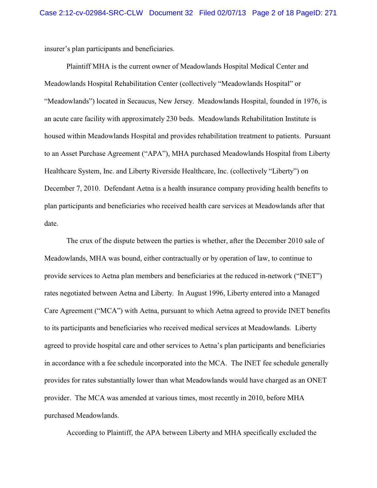insurer's plan participants and beneficiaries.

Plaintiff MHA is the current owner of Meadowlands Hospital Medical Center and Meadowlands Hospital Rehabilitation Center (collectively "Meadowlands Hospital" or "Meadowlands") located in Secaucus, New Jersey. Meadowlands Hospital, founded in 1976, is an acute care facility with approximately 230 beds. Meadowlands Rehabilitation Institute is housed within Meadowlands Hospital and provides rehabilitation treatment to patients. Pursuant to an Asset Purchase Agreement ("APA"), MHA purchased Meadowlands Hospital from Liberty Healthcare System, Inc. and Liberty Riverside Healthcare, Inc. (collectively "Liberty") on December 7, 2010. Defendant Aetna is a health insurance company providing health benefits to plan participants and beneficiaries who received health care services at Meadowlands after that date.

The crux of the dispute between the parties is whether, after the December 2010 sale of Meadowlands, MHA was bound, either contractually or by operation of law, to continue to provide services to Aetna plan members and beneficiaries at the reduced in-network ("INET") rates negotiated between Aetna and Liberty. In August 1996, Liberty entered into a Managed Care Agreement ("MCA") with Aetna, pursuant to which Aetna agreed to provide INET benefits to its participants and beneficiaries who received medical services at Meadowlands. Liberty agreed to provide hospital care and other services to Aetna's plan participants and beneficiaries in accordance with a fee schedule incorporated into the MCA. The INET fee schedule generally provides for rates substantially lower than what Meadowlands would have charged as an ONET provider. The MCA was amended at various times, most recently in 2010, before MHA purchased Meadowlands.

According to Plaintiff, the APA between Liberty and MHA specifically excluded the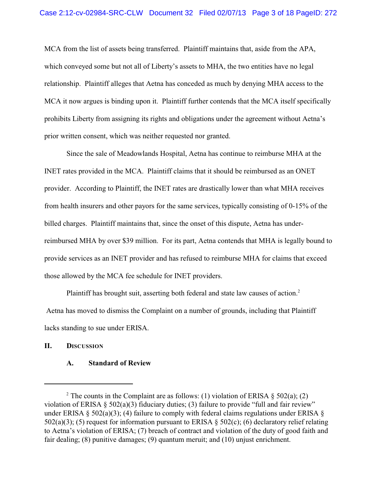MCA from the list of assets being transferred. Plaintiff maintains that, aside from the APA, which conveyed some but not all of Liberty's assets to MHA, the two entities have no legal relationship. Plaintiff alleges that Aetna has conceded as much by denying MHA access to the MCA it now argues is binding upon it. Plaintiff further contends that the MCA itself specifically prohibits Liberty from assigning its rights and obligations under the agreement without Aetna's prior written consent, which was neither requested nor granted.

Since the sale of Meadowlands Hospital, Aetna has continue to reimburse MHA at the INET rates provided in the MCA. Plaintiff claims that it should be reimbursed as an ONET provider. According to Plaintiff, the INET rates are drastically lower than what MHA receives from health insurers and other payors for the same services, typically consisting of 0-15% of the billed charges. Plaintiff maintains that, since the onset of this dispute, Aetna has underreimbursed MHA by over \$39 million. For its part, Aetna contends that MHA is legally bound to provide services as an INET provider and has refused to reimburse MHA for claims that exceed those allowed by the MCA fee schedule for INET providers.

Plaintiff has brought suit, asserting both federal and state law causes of action.<sup>2</sup> Aetna has moved to dismiss the Complaint on a number of grounds, including that Plaintiff lacks standing to sue under ERISA.

## **II. DISCUSSION**

#### **A. Standard of Review**

<sup>&</sup>lt;sup>2</sup> The counts in the Complaint are as follows: (1) violation of ERISA  $\S$  502(a); (2) violation of ERISA § 502(a)(3) fiduciary duties; (3) failure to provide "full and fair review" under ERISA § 502(a)(3); (4) failure to comply with federal claims regulations under ERISA § 502(a)(3); (5) request for information pursuant to ERISA  $\S$  502(c); (6) declaratory relief relating to Aetna's violation of ERISA; (7) breach of contract and violation of the duty of good faith and fair dealing; (8) punitive damages; (9) quantum meruit; and (10) unjust enrichment.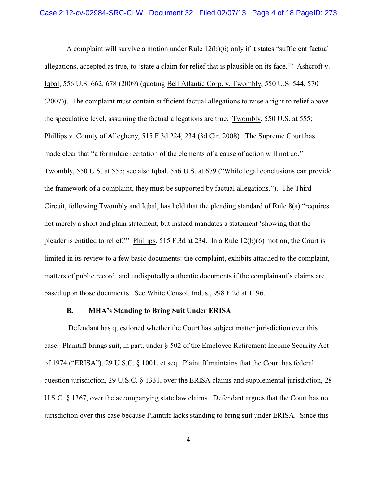A complaint will survive a motion under Rule 12(b)(6) only if it states "sufficient factual allegations, accepted as true, to 'state a claim for relief that is plausible on its face.'" Ashcroft v. Iqbal, 556 U.S. 662, 678 (2009) (quoting Bell Atlantic Corp. v. Twombly, 550 U.S. 544, 570 (2007)). The complaint must contain sufficient factual allegations to raise a right to relief above the speculative level, assuming the factual allegations are true. Twombly, 550 U.S. at 555; Phillips v. County of Allegheny, 515 F.3d 224, 234 (3d Cir. 2008). The Supreme Court has made clear that "a formulaic recitation of the elements of a cause of action will not do." Twombly, 550 U.S. at 555; see also Iqbal, 556 U.S. at 679 ("While legal conclusions can provide the framework of a complaint, they must be supported by factual allegations."). The Third Circuit, following Twombly and Iqbal, has held that the pleading standard of Rule 8(a) "requires not merely a short and plain statement, but instead mandates a statement 'showing that the pleader is entitled to relief.'" Phillips, 515 F.3d at 234. In a Rule 12(b)(6) motion, the Court is limited in its review to a few basic documents: the complaint, exhibits attached to the complaint, matters of public record, and undisputedly authentic documents if the complainant's claims are based upon those documents. See White Consol. Indus., 998 F.2d at 1196.

### **B. MHA's Standing to Bring Suit Under ERISA**

 Defendant has questioned whether the Court has subject matter jurisdiction over this case. Plaintiff brings suit, in part, under § 502 of the Employee Retirement Income Security Act of 1974 ("ERISA"), 29 U.S.C. § 1001, et seq. Plaintiff maintains that the Court has federal question jurisdiction, 29 U.S.C. § 1331, over the ERISA claims and supplemental jurisdiction, 28 U.S.C. § 1367, over the accompanying state law claims. Defendant argues that the Court has no jurisdiction over this case because Plaintiff lacks standing to bring suit under ERISA. Since this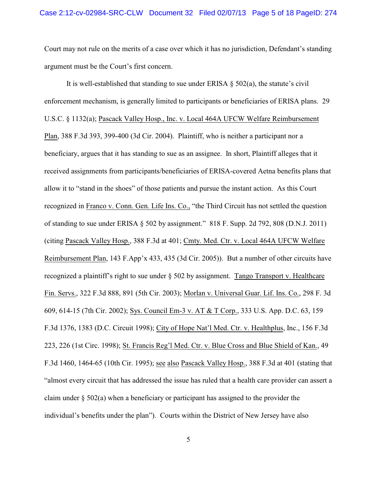Court may not rule on the merits of a case over which it has no jurisdiction, Defendant's standing argument must be the Court's first concern.

It is well-established that standing to sue under ERISA  $\S$  502(a), the statute's civil enforcement mechanism, is generally limited to participants or beneficiaries of ERISA plans. 29 U.S.C. § 1132(a); Pascack Valley Hosp., Inc. v. Local 464A UFCW Welfare Reimbursement Plan, 388 F.3d 393, 399-400 (3d Cir. 2004). Plaintiff, who is neither a participant nor a beneficiary, argues that it has standing to sue as an assignee. In short, Plaintiff alleges that it received assignments from participants/beneficiaries of ERISA-covered Aetna benefits plans that allow it to "stand in the shoes" of those patients and pursue the instant action. As this Court recognized in Franco v. Conn. Gen. Life Ins. Co., "the Third Circuit has not settled the question of standing to sue under ERISA § 502 by assignment." 818 F. Supp. 2d 792, 808 (D.N.J. 2011) (citing Pascack Valley Hosp., 388 F.3d at 401; Cmty. Med. Ctr. v. Local 464A UFCW Welfare Reimbursement Plan, 143 F.App'x 433, 435 (3d Cir. 2005)). But a number of other circuits have recognized a plaintiff's right to sue under § 502 by assignment. Tango Transport v. Healthcare Fin. Servs., 322 F.3d 888, 891 (5th Cir. 2003); Morlan v. Universal Guar. Lif. Ins. Co., 298 F. 3d 609, 614-15 (7th Cir. 2002); Sys. Council Em-3 v. AT & T Corp., 333 U.S. App. D.C. 63, 159 F.3d 1376, 1383 (D.C. Circuit 1998); City of Hope Nat'l Med. Ctr. v. Healthplus, Inc., 156 F.3d 223, 226 (1st Circ. 1998); St. Francis Reg'l Med. Ctr. v. Blue Cross and Blue Shield of Kan., 49 F.3d 1460, 1464-65 (10th Cir. 1995); see also Pascack Valley Hosp., 388 F.3d at 401 (stating that "almost every circuit that has addressed the issue has ruled that a health care provider can assert a claim under  $\S 502(a)$  when a beneficiary or participant has assigned to the provider the individual's benefits under the plan"). Courts within the District of New Jersey have also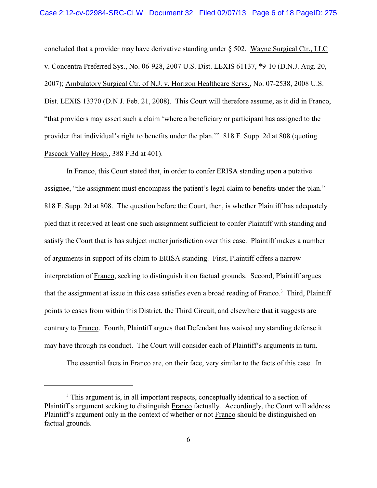concluded that a provider may have derivative standing under  $\S$  502. Wayne Surgical Ctr., LLC v. Concentra Preferred Sys., No. 06-928, 2007 U.S. Dist. LEXIS 61137, \*9-10 (D.N.J. Aug. 20, 2007); Ambulatory Surgical Ctr. of N.J. v. Horizon Healthcare Servs., No. 07-2538, 2008 U.S. Dist. LEXIS 13370 (D.N.J. Feb. 21, 2008). This Court will therefore assume, as it did in Franco, "that providers may assert such a claim 'where a beneficiary or participant has assigned to the provider that individual's right to benefits under the plan.'" 818 F. Supp. 2d at 808 (quoting Pascack Valley Hosp., 388 F.3d at 401).

In Franco, this Court stated that, in order to confer ERISA standing upon a putative assignee, "the assignment must encompass the patient's legal claim to benefits under the plan." 818 F. Supp. 2d at 808. The question before the Court, then, is whether Plaintiff has adequately pled that it received at least one such assignment sufficient to confer Plaintiff with standing and satisfy the Court that is has subject matter jurisdiction over this case. Plaintiff makes a number of arguments in support of its claim to ERISA standing. First, Plaintiff offers a narrow interpretation of Franco, seeking to distinguish it on factual grounds. Second, Plaintiff argues that the assignment at issue in this case satisfies even a broad reading of Franco.<sup>3</sup> Third, Plaintiff points to cases from within this District, the Third Circuit, and elsewhere that it suggests are contrary to Franco. Fourth, Plaintiff argues that Defendant has waived any standing defense it may have through its conduct. The Court will consider each of Plaintiff's arguments in turn.

The essential facts in Franco are, on their face, very similar to the facts of this case. In

<sup>&</sup>lt;sup>3</sup> This argument is, in all important respects, conceptually identical to a section of Plaintiff's argument seeking to distinguish Franco factually. Accordingly, the Court will address Plaintiff's argument only in the context of whether or not Franco should be distinguished on factual grounds.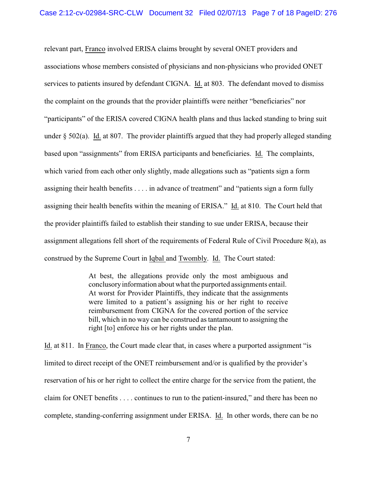relevant part, Franco involved ERISA claims brought by several ONET providers and associations whose members consisted of physicians and non-physicians who provided ONET services to patients insured by defendant CIGNA. Id. at 803. The defendant moved to dismiss the complaint on the grounds that the provider plaintiffs were neither "beneficiaries" nor "participants" of the ERISA covered CIGNA health plans and thus lacked standing to bring suit under  $\S$  502(a). Id. at 807. The provider plaintiffs argued that they had properly alleged standing based upon "assignments" from ERISA participants and beneficiaries. Id. The complaints, which varied from each other only slightly, made allegations such as "patients sign a form assigning their health benefits . . . . in advance of treatment" and "patients sign a form fully assigning their health benefits within the meaning of ERISA." Id. at 810. The Court held that the provider plaintiffs failed to establish their standing to sue under ERISA, because their assignment allegations fell short of the requirements of Federal Rule of Civil Procedure 8(a), as construed by the Supreme Court in Iqbal and Twombly. Id. The Court stated:

> At best, the allegations provide only the most ambiguous and conclusoryinformation about what the purported assignments entail. At worst for Provider Plaintiffs, they indicate that the assignments were limited to a patient's assigning his or her right to receive reimbursement from CIGNA for the covered portion of the service bill, which in no way can be construed as tantamount to assigning the right [to] enforce his or her rights under the plan.

Id. at 811. In Franco, the Court made clear that, in cases where a purported assignment "is limited to direct receipt of the ONET reimbursement and/or is qualified by the provider's reservation of his or her right to collect the entire charge for the service from the patient, the claim for ONET benefits . . . . continues to run to the patient-insured," and there has been no complete, standing-conferring assignment under ERISA. Id. In other words, there can be no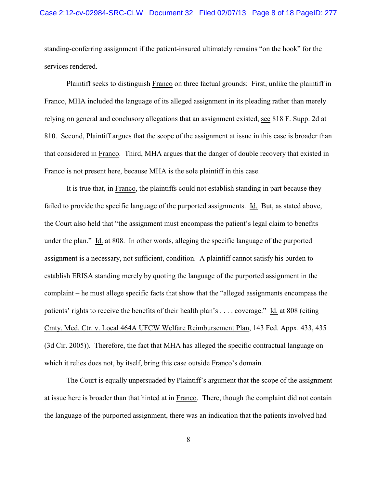standing-conferring assignment if the patient-insured ultimately remains "on the hook" for the services rendered.

Plaintiff seeks to distinguish Franco on three factual grounds: First, unlike the plaintiff in Franco, MHA included the language of its alleged assignment in its pleading rather than merely relying on general and conclusory allegations that an assignment existed, see 818 F. Supp. 2d at 810. Second, Plaintiff argues that the scope of the assignment at issue in this case is broader than that considered in Franco. Third, MHA argues that the danger of double recovery that existed in Franco is not present here, because MHA is the sole plaintiff in this case.

It is true that, in Franco, the plaintiffs could not establish standing in part because they failed to provide the specific language of the purported assignments. Id. But, as stated above, the Court also held that "the assignment must encompass the patient's legal claim to benefits under the plan." Id. at 808. In other words, alleging the specific language of the purported assignment is a necessary, not sufficient, condition. A plaintiff cannot satisfy his burden to establish ERISA standing merely by quoting the language of the purported assignment in the complaint – he must allege specific facts that show that the "alleged assignments encompass the patients' rights to receive the benefits of their health plan's . . . . coverage." Id. at 808 (citing Cmty. Med. Ctr. v. Local 464A UFCW Welfare Reimbursement Plan, 143 Fed. Appx. 433, 435 (3d Cir. 2005)). Therefore, the fact that MHA has alleged the specific contractual language on which it relies does not, by itself, bring this case outside Franco's domain.

The Court is equally unpersuaded by Plaintiff's argument that the scope of the assignment at issue here is broader than that hinted at in Franco. There, though the complaint did not contain the language of the purported assignment, there was an indication that the patients involved had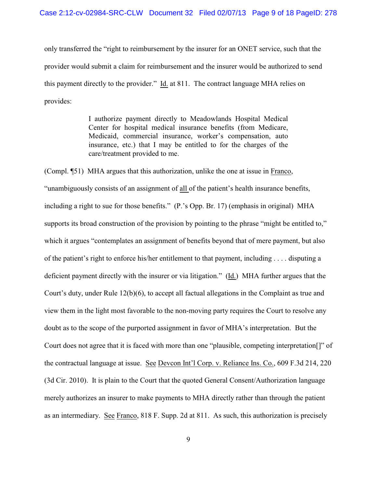only transferred the "right to reimbursement by the insurer for an ONET service, such that the provider would submit a claim for reimbursement and the insurer would be authorized to send this payment directly to the provider." Id. at 811. The contract language MHA relies on provides:

> I authorize payment directly to Meadowlands Hospital Medical Center for hospital medical insurance benefits (from Medicare, Medicaid, commercial insurance, worker's compensation, auto insurance, etc.) that I may be entitled to for the charges of the care/treatment provided to me.

(Compl. ¶51) MHA argues that this authorization, unlike the one at issue in Franco, "unambiguously consists of an assignment of all of the patient's health insurance benefits, including a right to sue for those benefits." (P.'s Opp. Br. 17) (emphasis in original) MHA supports its broad construction of the provision by pointing to the phrase "might be entitled to," which it argues "contemplates an assignment of benefits beyond that of mere payment, but also of the patient's right to enforce his/her entitlement to that payment, including . . . . disputing a deficient payment directly with the insurer or via litigation." (Id.) MHA further argues that the Court's duty, under Rule 12(b)(6), to accept all factual allegations in the Complaint as true and view them in the light most favorable to the non-moving party requires the Court to resolve any doubt as to the scope of the purported assignment in favor of MHA's interpretation. But the Court does not agree that it is faced with more than one "plausible, competing interpretation[]" of the contractual language at issue. See Devcon Int'l Corp. v. Reliance Ins. Co., 609 F.3d 214, 220 (3d Cir. 2010). It is plain to the Court that the quoted General Consent/Authorization language merely authorizes an insurer to make payments to MHA directly rather than through the patient as an intermediary. See Franco, 818 F. Supp. 2d at 811. As such, this authorization is precisely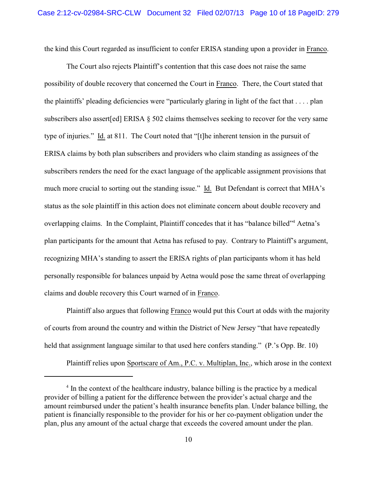the kind this Court regarded as insufficient to confer ERISA standing upon a provider in Franco.

The Court also rejects Plaintiff's contention that this case does not raise the same possibility of double recovery that concerned the Court in Franco. There, the Court stated that the plaintiffs' pleading deficiencies were "particularly glaring in light of the fact that . . . . plan subscribers also assert[ed] ERISA § 502 claims themselves seeking to recover for the very same type of injuries." Id. at 811. The Court noted that "[t]he inherent tension in the pursuit of ERISA claims by both plan subscribers and providers who claim standing as assignees of the subscribers renders the need for the exact language of the applicable assignment provisions that much more crucial to sorting out the standing issue." Id. But Defendant is correct that MHA's status as the sole plaintiff in this action does not eliminate concern about double recovery and overlapping claims. In the Complaint, Plaintiff concedes that it has "balance billed"<sup>4</sup> Aetna's plan participants for the amount that Aetna has refused to pay. Contrary to Plaintiff's argument, recognizing MHA's standing to assert the ERISA rights of plan participants whom it has held personally responsible for balances unpaid by Aetna would pose the same threat of overlapping claims and double recovery this Court warned of in Franco.

Plaintiff also argues that following Franco would put this Court at odds with the majority of courts from around the country and within the District of New Jersey "that have repeatedly held that assignment language similar to that used here confers standing." (P.'s Opp. Br. 10)

Plaintiff relies upon Sportscare of Am., P.C. v. Multiplan, Inc., which arose in the context

 $<sup>4</sup>$  In the context of the healthcare industry, balance billing is the practice by a medical</sup> provider of billing a patient for the difference between the provider's actual charge and the amount reimbursed under the patient's health insurance benefits plan. Under balance billing, the patient is financially responsible to the provider for his or her co-payment obligation under the plan, plus any amount of the actual charge that exceeds the covered amount under the plan.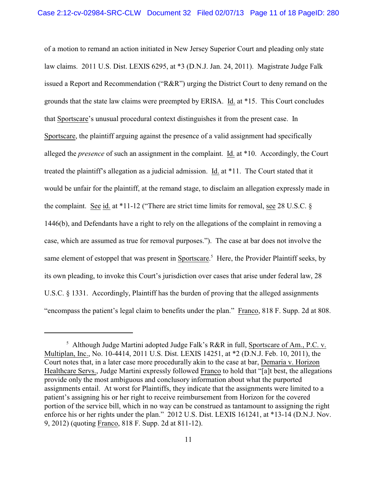of a motion to remand an action initiated in New Jersey Superior Court and pleading only state law claims. 2011 U.S. Dist. LEXIS 6295, at \*3 (D.N.J. Jan. 24, 2011). Magistrate Judge Falk issued a Report and Recommendation ("R&R") urging the District Court to deny remand on the grounds that the state law claims were preempted by ERISA. Id. at \*15. This Court concludes that Sportscare's unusual procedural context distinguishes it from the present case. In Sportscare, the plaintiff arguing against the presence of a valid assignment had specifically alleged the *presence* of such an assignment in the complaint. Id. at \*10. Accordingly, the Court treated the plaintiff's allegation as a judicial admission. Id. at \*11. The Court stated that it would be unfair for the plaintiff, at the remand stage, to disclaim an allegation expressly made in the complaint. See id. at \*11-12 ("There are strict time limits for removal, see 28 U.S.C. § 1446(b), and Defendants have a right to rely on the allegations of the complaint in removing a case, which are assumed as true for removal purposes."). The case at bar does not involve the same element of estoppel that was present in Sportscare.<sup>5</sup> Here, the Provider Plaintiff seeks, by its own pleading, to invoke this Court's jurisdiction over cases that arise under federal law, 28 U.S.C. § 1331. Accordingly, Plaintiff has the burden of proving that the alleged assignments "encompass the patient's legal claim to benefits under the plan." Franco, 818 F. Supp. 2d at 808.

<sup>&</sup>lt;sup>5</sup> Although Judge Martini adopted Judge Falk's R&R in full, Sportscare of Am., P.C. v. Multiplan, Inc., No. 10-4414, 2011 U.S. Dist. LEXIS 14251, at \*2 (D.N.J. Feb. 10, 2011), the Court notes that, in a later case more procedurally akin to the case at bar, Demaria v. Horizon Healthcare Servs., Judge Martini expressly followed Franco to hold that "[a]t best, the allegations provide only the most ambiguous and conclusory information about what the purported assignments entail. At worst for Plaintiffs, they indicate that the assignments were limited to a patient's assigning his or her right to receive reimbursement from Horizon for the covered portion of the service bill, which in no way can be construed as tantamount to assigning the right enforce his or her rights under the plan." 2012 U.S. Dist. LEXIS 161241, at \*13-14 (D.N.J. Nov. 9, 2012) (quoting Franco, 818 F. Supp. 2d at 811-12).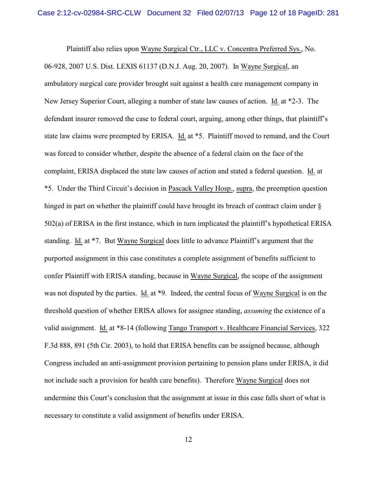Plaintiff also relies upon Wayne Surgical Ctr., LLC v. Concentra Preferred Sys., No. 06-928, 2007 U.S. Dist. LEXIS 61137 (D.N.J. Aug. 20, 2007). In Wayne Surgical, an ambulatory surgical care provider brought suit against a health care management company in New Jersey Superior Court, alleging a number of state law causes of action. Id. at \*2-3. The defendant insurer removed the case to federal court, arguing, among other things, that plaintiff's state law claims were preempted by ERISA. Id. at \*5. Plaintiff moved to remand, and the Court was forced to consider whether, despite the absence of a federal claim on the face of the complaint, ERISA displaced the state law causes of action and stated a federal question. Id. at \*5. Under the Third Circuit's decision in Pascack Valley Hosp., supra, the preemption question hinged in part on whether the plaintiff could have brought its breach of contract claim under  $\S$ 502(a) of ERISA in the first instance, which in turn implicated the plaintiff's hypothetical ERISA standing. Id. at \*7. But Wayne Surgical does little to advance Plaintiff's argument that the purported assignment in this case constitutes a complete assignment of benefits sufficient to confer Plaintiff with ERISA standing, because in Wayne Surgical, the scope of the assignment was not disputed by the parties. Id. at \*9. Indeed, the central focus of Wayne Surgical is on the threshold question of whether ERISA allows for assignee standing, *assuming* the existence of a valid assignment. Id. at \*8-14 (following Tango Transport v. Healthcare Financial Services, 322 F.3d 888, 891 (5th Cir. 2003), to hold that ERISA benefits can be assigned because, although Congress included an anti-assignment provision pertaining to pension plans under ERISA, it did not include such a provision for health care benefits). Therefore Wayne Surgical does not undermine this Court's conclusion that the assignment at issue in this case falls short of what is necessary to constitute a valid assignment of benefits under ERISA.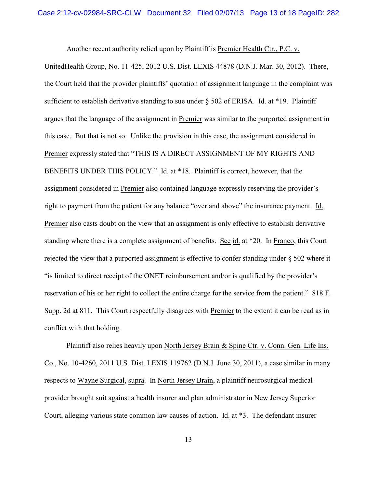Another recent authority relied upon by Plaintiff is Premier Health Ctr., P.C. v.

UnitedHealth Group, No. 11-425, 2012 U.S. Dist. LEXIS 44878 (D.N.J. Mar. 30, 2012). There, the Court held that the provider plaintiffs' quotation of assignment language in the complaint was sufficient to establish derivative standing to sue under § 502 of ERISA. Id. at \*19. Plaintiff argues that the language of the assignment in Premier was similar to the purported assignment in this case. But that is not so. Unlike the provision in this case, the assignment considered in Premier expressly stated that "THIS IS A DIRECT ASSIGNMENT OF MY RIGHTS AND BENEFITS UNDER THIS POLICY." Id. at \*18. Plaintiff is correct, however, that the assignment considered in Premier also contained language expressly reserving the provider's right to payment from the patient for any balance "over and above" the insurance payment. Id. Premier also casts doubt on the view that an assignment is only effective to establish derivative standing where there is a complete assignment of benefits. See id. at \*20. In Franco, this Court rejected the view that a purported assignment is effective to confer standing under § 502 where it "is limited to direct receipt of the ONET reimbursement and/or is qualified by the provider's reservation of his or her right to collect the entire charge for the service from the patient." 818 F. Supp. 2d at 811. This Court respectfully disagrees with Premier to the extent it can be read as in conflict with that holding.

Plaintiff also relies heavily upon North Jersey Brain & Spine Ctr. v. Conn. Gen. Life Ins. Co., No. 10-4260, 2011 U.S. Dist. LEXIS 119762 (D.N.J. June 30, 2011), a case similar in many respects to Wayne Surgical, supra. In North Jersey Brain, a plaintiff neurosurgical medical provider brought suit against a health insurer and plan administrator in New Jersey Superior Court, alleging various state common law causes of action. Id. at \*3. The defendant insurer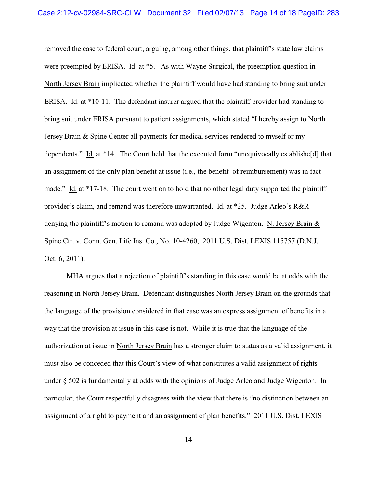removed the case to federal court, arguing, among other things, that plaintiff's state law claims were preempted by ERISA. Id. at \*5. As with Wayne Surgical, the preemption question in North Jersey Brain implicated whether the plaintiff would have had standing to bring suit under ERISA. Id. at \*10-11. The defendant insurer argued that the plaintiff provider had standing to bring suit under ERISA pursuant to patient assignments, which stated "I hereby assign to North Jersey Brain & Spine Center all payments for medical services rendered to myself or my dependents." Id. at \*14. The Court held that the executed form "unequivocally establishe[d] that an assignment of the only plan benefit at issue (i.e., the benefit of reimbursement) was in fact made." Id. at \*17-18. The court went on to hold that no other legal duty supported the plaintiff provider's claim, and remand was therefore unwarranted. Id. at \*25. Judge Arleo's R&R denying the plaintiff's motion to remand was adopted by Judge Wigenton. N. Jersey Brain & Spine Ctr. v. Conn. Gen. Life Ins. Co., No. 10-4260, 2011 U.S. Dist. LEXIS 115757 (D.N.J. Oct. 6, 2011).

MHA argues that a rejection of plaintiff's standing in this case would be at odds with the reasoning in North Jersey Brain. Defendant distinguishes North Jersey Brain on the grounds that the language of the provision considered in that case was an express assignment of benefits in a way that the provision at issue in this case is not. While it is true that the language of the authorization at issue in North Jersey Brain has a stronger claim to status as a valid assignment, it must also be conceded that this Court's view of what constitutes a valid assignment of rights under § 502 is fundamentally at odds with the opinions of Judge Arleo and Judge Wigenton. In particular, the Court respectfully disagrees with the view that there is "no distinction between an assignment of a right to payment and an assignment of plan benefits." 2011 U.S. Dist. LEXIS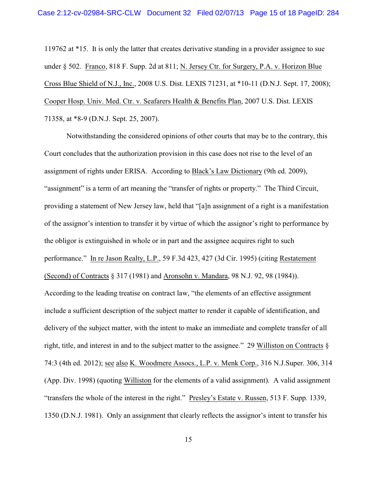119762 at \*15. It is only the latter that creates derivative standing in a provider assignee to sue under § 502. Franco, 818 F. Supp. 2d at 811; N. Jersey Ctr. for Surgery, P.A. v. Horizon Blue Cross Blue Shield of N.J., Inc., 2008 U.S. Dist. LEXIS 71231, at \*10-11 (D.N.J. Sept. 17, 2008); Cooper Hosp. Univ. Med. Ctr. v. Seafarers Health & Benefits Plan, 2007 U.S. Dist. LEXIS 71358, at \*8-9 (D.N.J. Sept. 25, 2007).

Notwithstanding the considered opinions of other courts that may be to the contrary, this Court concludes that the authorization provision in this case does not rise to the level of an assignment of rights under ERISA. According to Black's Law Dictionary (9th ed. 2009), "assignment" is a term of art meaning the "transfer of rights or property." The Third Circuit, providing a statement of New Jersey law, held that "[a]n assignment of a right is a manifestation of the assignor's intention to transfer it by virtue of which the assignor's right to performance by the obligor is extinguished in whole or in part and the assignee acquires right to such performance." In re Jason Realty, L.P., 59 F.3d 423, 427 (3d Cir. 1995) (citing Restatement (Second) of Contracts § 317 (1981) and Aronsohn v. Mandara, 98 N.J. 92, 98 (1984)). According to the leading treatise on contract law, "the elements of an effective assignment include a sufficient description of the subject matter to render it capable of identification, and delivery of the subject matter, with the intent to make an immediate and complete transfer of all right, title, and interest in and to the subject matter to the assignee." 29 Williston on Contracts § 74:3 (4th ed. 2012); see also K. Woodmere Assocs., L.P. v. Menk Corp., 316 N.J.Super. 306, 314 (App. Div. 1998) (quoting Williston for the elements of a valid assignment). A valid assignment "transfers the whole of the interest in the right." Presley's Estate v. Russen, 513 F. Supp. 1339, 1350 (D.N.J. 1981). Only an assignment that clearly reflects the assignor's intent to transfer his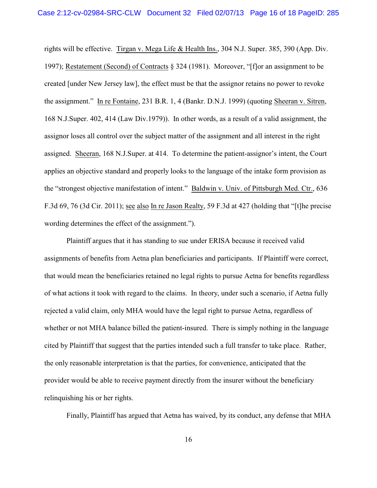rights will be effective. Tirgan v. Mega Life & Health Ins., 304 N.J. Super. 385, 390 (App. Div. 1997); Restatement (Second) of Contracts § 324 (1981). Moreover, "[f]or an assignment to be created [under New Jersey law], the effect must be that the assignor retains no power to revoke the assignment." In re Fontaine, 231 B.R. 1, 4 (Bankr. D.N.J. 1999) (quoting Sheeran v. Sitren, 168 N.J.Super. 402, 414 (Law Div.1979)). In other words, as a result of a valid assignment, the assignor loses all control over the subject matter of the assignment and all interest in the right assigned. Sheeran, 168 N.J.Super. at 414. To determine the patient-assignor's intent, the Court applies an objective standard and properly looks to the language of the intake form provision as the "strongest objective manifestation of intent." Baldwin v. Univ. of Pittsburgh Med. Ctr., 636 F.3d 69, 76 (3d Cir. 2011); see also In re Jason Realty, 59 F.3d at 427 (holding that "[t]he precise wording determines the effect of the assignment.").

Plaintiff argues that it has standing to sue under ERISA because it received valid assignments of benefits from Aetna plan beneficiaries and participants. If Plaintiff were correct, that would mean the beneficiaries retained no legal rights to pursue Aetna for benefits regardless of what actions it took with regard to the claims. In theory, under such a scenario, if Aetna fully rejected a valid claim, only MHA would have the legal right to pursue Aetna, regardless of whether or not MHA balance billed the patient-insured. There is simply nothing in the language cited by Plaintiff that suggest that the parties intended such a full transfer to take place. Rather, the only reasonable interpretation is that the parties, for convenience, anticipated that the provider would be able to receive payment directly from the insurer without the beneficiary relinquishing his or her rights.

Finally, Plaintiff has argued that Aetna has waived, by its conduct, any defense that MHA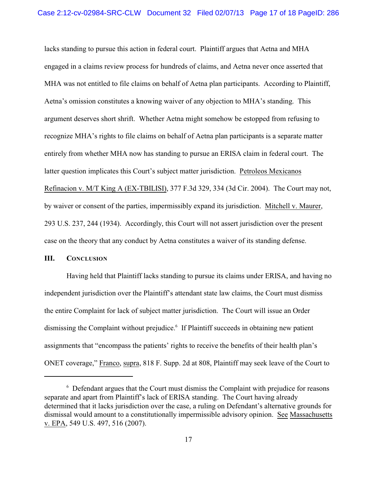lacks standing to pursue this action in federal court. Plaintiff argues that Aetna and MHA engaged in a claims review process for hundreds of claims, and Aetna never once asserted that MHA was not entitled to file claims on behalf of Aetna plan participants. According to Plaintiff, Aetna's omission constitutes a knowing waiver of any objection to MHA's standing. This argument deserves short shrift. Whether Aetna might somehow be estopped from refusing to recognize MHA's rights to file claims on behalf of Aetna plan participants is a separate matter entirely from whether MHA now has standing to pursue an ERISA claim in federal court. The latter question implicates this Court's subject matter jurisdiction. Petroleos Mexicanos Refinacion v. M/T King A (EX-TBILISI), 377 F.3d 329, 334 (3d Cir. 2004). The Court may not, by waiver or consent of the parties, impermissibly expand its jurisdiction. Mitchell v. Maurer, 293 U.S. 237, 244 (1934). Accordingly, this Court will not assert jurisdiction over the present case on the theory that any conduct by Aetna constitutes a waiver of its standing defense.

### **III. CONCLUSION**

Having held that Plaintiff lacks standing to pursue its claims under ERISA, and having no independent jurisdiction over the Plaintiff's attendant state law claims, the Court must dismiss the entire Complaint for lack of subject matter jurisdiction. The Court will issue an Order dismissing the Complaint without prejudice.<sup>6</sup> If Plaintiff succeeds in obtaining new patient assignments that "encompass the patients' rights to receive the benefits of their health plan's ONET coverage," Franco, supra, 818 F. Supp. 2d at 808, Plaintiff may seek leave of the Court to

 $6$  Defendant argues that the Court must dismiss the Complaint with prejudice for reasons separate and apart from Plaintiff's lack of ERISA standing. The Court having already determined that it lacks jurisdiction over the case, a ruling on Defendant's alternative grounds for dismissal would amount to a constitutionally impermissible advisory opinion. See Massachusetts v. EPA, 549 U.S. 497, 516 (2007).